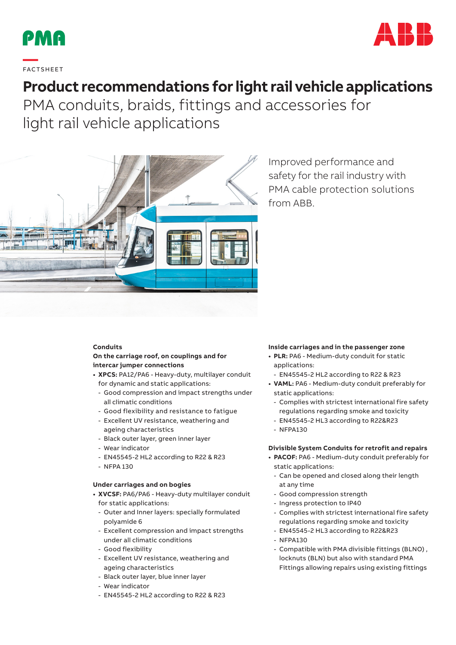



**—**  FAC TS H EE T

# **Product recommendations for light rail vehicle applications**

PMA conduits, braids, fittings and accessories for light rail vehicle applications



Improved performance and safety for the rail industry with PMA cable protection solutions from ABB.

# **Conduits**

# **On the carriage roof, on couplings and for intercar jumper connections**

- **• XPCS:** PA12/PA6 Heavy-duty, multilayer conduit for dynamic and static applications:
	- Good compression and impact strengths under all climatic conditions
	- Good flexibility and resistance to fatigue
	- Excellent UV resistance, weathering and ageing characteristics
	- Black outer layer, green inner layer
	- Wear indicator
	- EN45545-2 HL2 according to R22 & R23
	- NFPA 130

#### **Under carriages and on bogies**

- **• XVCSF:** PA6/PA6 Heavy-duty multilayer conduit for static applications:
	- Outer and Inner layers: specially formulated polyamide 6
	- Excellent compression and impact strengths under all climatic conditions
	- Good flexibility
	- Excellent UV resistance, weathering and ageing characteristics
	- Black outer layer, blue inner layer
	- Wear indicator
	- EN45545-2 HL2 according to R22 & R23

#### **Inside carriages and in the passenger zone**

- **• PLR:** PA6 Medium-duty conduit for static applications:
- EN45545-2 HL2 according to R22 & R23
- **• VAML:** PA6 Medium-duty conduit preferably for static applications:
	- Complies with strictest international fire safety regulations regarding smoke and toxicity
	- EN45545-2 HL3 according to R22&R23
	- NFPA130

#### **Divisible System Conduits for retrofit and repairs**

- **• PACOF:** PA6 Medium-duty conduit preferably for static applications:
	- Can be opened and closed along their length at any time
	- Good compression strength
- Ingress protection to IP40
- Complies with strictest international fire safety regulations regarding smoke and toxicity
- EN45545-2 HL3 according to R22&R23
- NFPA130
- Compatible with PMA divisible fittings (BLNO) , locknuts (BLN) but also with standard PMA Fittings allowing repairs using existing fittings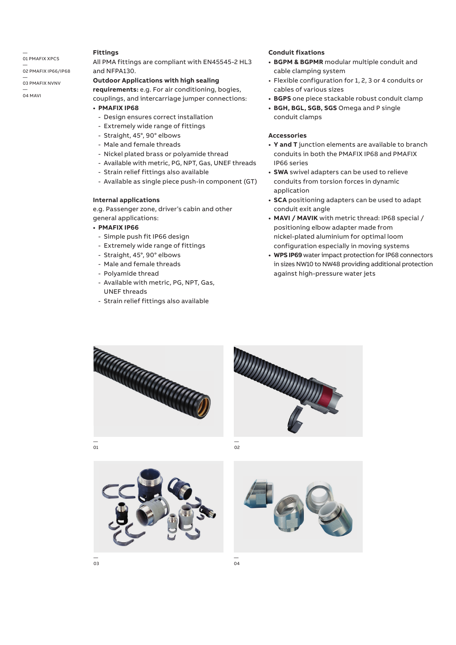# — 01 PMAFIX XPCS

— 02 PMAFIX IP66/IP68

# — 03 PMAFIX NVNV

— 04 MAVI

#### **Fittings**

All PMA fittings are compliant with EN45545-2 HL3 and NFPA130.

## **Outdoor Applications with high sealing**

**requirements:** e.g. For air conditioning, bogies, couplings, and intercarriage jumper connections:

- **PMAFIX IP68**
	- Design ensures correct installation
	- Extremely wide range of fittings
	- Straight, 45°, 90° elbows
	- Male and female threads
	- Nickel plated brass or polyamide thread
	- Available with metric, PG, NPT, Gas, UNEF threads
	- Strain relief fittings also available
	- Available as single piece push-in component (GT)

#### **Internal applications**

e.g. Passenger zone, driver's cabin and other general applications:

#### **• PMAFIX IP66**

- Simple push fit IP66 design
- Extremely wide range of fittings
- Straight, 45°, 90° elbows
- Male and female threads
- Polyamide thread
- Available with metric, PG, NPT, Gas, UNEF threads
- Strain relief fittings also available

## **Conduit fixations**

- **BGPM & BGPMR** modular multiple conduit and cable clamping system
- Flexible configuration for 1, 2, 3 or 4 conduits or cables of various sizes
- **BGPS** one piece stackable robust conduit clamp
- **BGH, BGL, SGB, SGS** Omega and P single conduit clamps

#### **Accessories**

- **Y and T** junction elements are available to branch conduits in both the PMAFIX IP68 and PMAFIX IP66 series
- **SWA** swivel adapters can be used to relieve conduits from torsion forces in dynamic application
- **SCA** positioning adapters can be used to adapt conduit exit angle
- **MAVI / MAVIK** with metric thread: IP68 special / positioning elbow adapter made from nickel-plated aluminium for optimal loom configuration especially in moving systems
- **WPS IP69** water impact protection for IP68 connectors in sizes NW10 to NW48 providing additional protection against high-pressure water jets













— 04